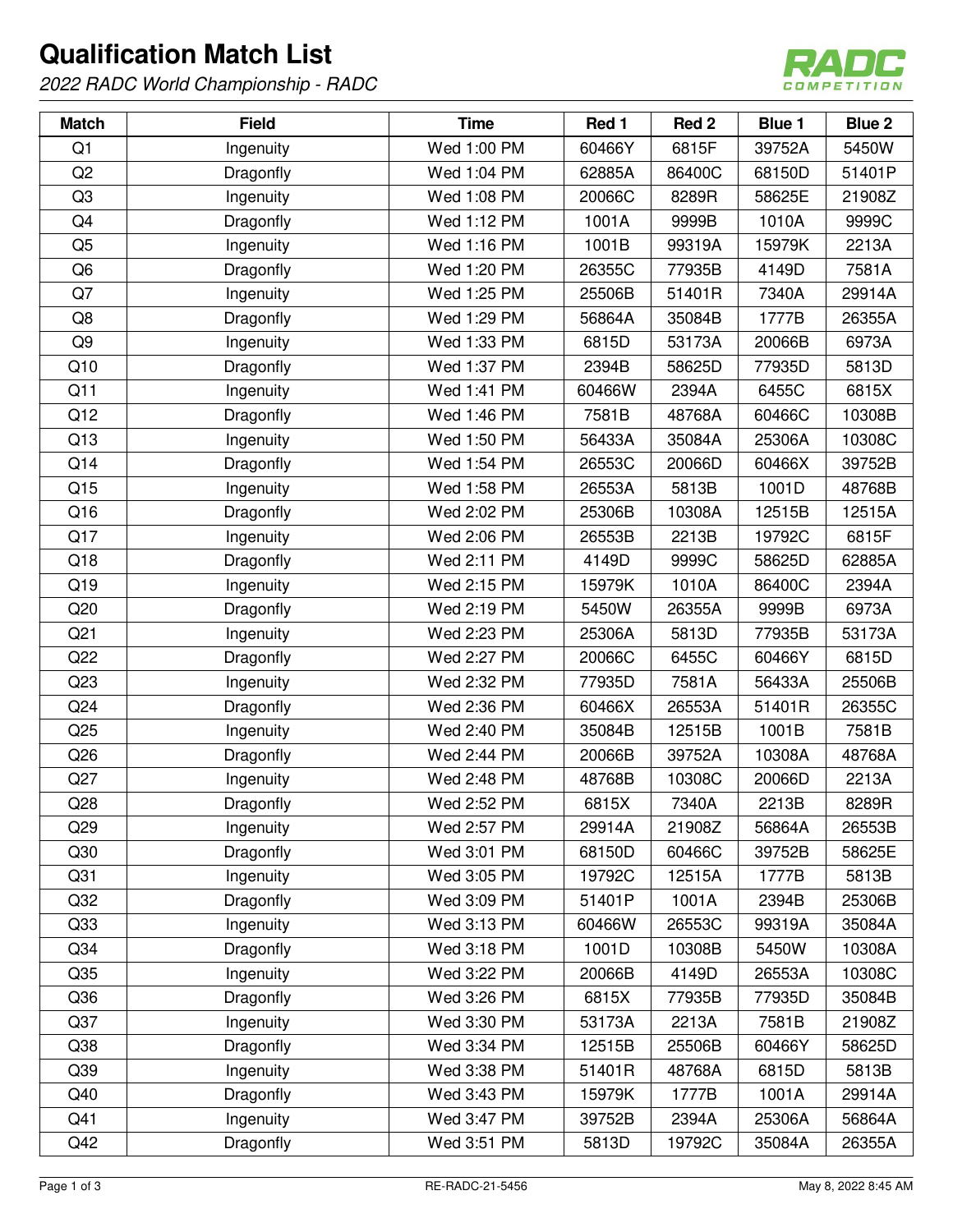## **Qualification Match List**

2022 RADC World Championship - RADC



| <b>Match</b>    | <b>Field</b> | <b>Time</b> | Red 1  | Red 2  | <b>Blue 1</b> | <b>Blue 2</b> |
|-----------------|--------------|-------------|--------|--------|---------------|---------------|
| Q1              | Ingenuity    | Wed 1:00 PM | 60466Y | 6815F  | 39752A        | 5450W         |
| Q <sub>2</sub>  | Dragonfly    | Wed 1:04 PM | 62885A | 86400C | 68150D        | 51401P        |
| Q <sub>3</sub>  | Ingenuity    | Wed 1:08 PM | 20066C | 8289R  | 58625E        | 21908Z        |
| Q4              | Dragonfly    | Wed 1:12 PM | 1001A  | 9999B  | 1010A         | 9999C         |
| Q <sub>5</sub>  | Ingenuity    | Wed 1:16 PM | 1001B  | 99319A | 15979K        | 2213A         |
| Q <sub>6</sub>  | Dragonfly    | Wed 1:20 PM | 26355C | 77935B | 4149D         | 7581A         |
| Q7              | Ingenuity    | Wed 1:25 PM | 25506B | 51401R | 7340A         | 29914A        |
| Q8              | Dragonfly    | Wed 1:29 PM | 56864A | 35084B | 1777B         | 26355A        |
| Q <sub>9</sub>  | Ingenuity    | Wed 1:33 PM | 6815D  | 53173A | 20066B        | 6973A         |
| Q10             | Dragonfly    | Wed 1:37 PM | 2394B  | 58625D | 77935D        | 5813D         |
| Q11             | Ingenuity    | Wed 1:41 PM | 60466W | 2394A  | 6455C         | 6815X         |
| Q12             | Dragonfly    | Wed 1:46 PM | 7581B  | 48768A | 60466C        | 10308B        |
| Q13             | Ingenuity    | Wed 1:50 PM | 56433A | 35084A | 25306A        | 10308C        |
| Q14             | Dragonfly    | Wed 1:54 PM | 26553C | 20066D | 60466X        | 39752B        |
| Q15             | Ingenuity    | Wed 1:58 PM | 26553A | 5813B  | 1001D         | 48768B        |
| Q16             | Dragonfly    | Wed 2:02 PM | 25306B | 10308A | 12515B        | 12515A        |
| Q17             | Ingenuity    | Wed 2:06 PM | 26553B | 2213B  | 19792C        | 6815F         |
| Q18             | Dragonfly    | Wed 2:11 PM | 4149D  | 9999C  | 58625D        | 62885A        |
| Q19             | Ingenuity    | Wed 2:15 PM | 15979K | 1010A  | 86400C        | 2394A         |
| Q20             | Dragonfly    | Wed 2:19 PM | 5450W  | 26355A | 9999B         | 6973A         |
| Q <sub>21</sub> | Ingenuity    | Wed 2:23 PM | 25306A | 5813D  | 77935B        | 53173A        |
| Q22             | Dragonfly    | Wed 2:27 PM | 20066C | 6455C  | 60466Y        | 6815D         |
| Q23             | Ingenuity    | Wed 2:32 PM | 77935D | 7581A  | 56433A        | 25506B        |
| Q24             | Dragonfly    | Wed 2:36 PM | 60466X | 26553A | 51401R        | 26355C        |
| Q25             | Ingenuity    | Wed 2:40 PM | 35084B | 12515B | 1001B         | 7581B         |
| Q26             | Dragonfly    | Wed 2:44 PM | 20066B | 39752A | 10308A        | 48768A        |
| Q27             | Ingenuity    | Wed 2:48 PM | 48768B | 10308C | 20066D        | 2213A         |
| Q28             | Dragonfly    | Wed 2:52 PM | 6815X  | 7340A  | 2213B         | 8289R         |
| Q <sub>29</sub> | Ingenuity    | Wed 2:57 PM | 29914A | 21908Z | 56864A        | 26553B        |
| Q30             | Dragonfly    | Wed 3:01 PM | 68150D | 60466C | 39752B        | 58625E        |
| Q <sub>31</sub> | Ingenuity    | Wed 3:05 PM | 19792C | 12515A | 1777B         | 5813B         |
| Q <sub>32</sub> | Dragonfly    | Wed 3:09 PM | 51401P | 1001A  | 2394B         | 25306B        |
| Q33             | Ingenuity    | Wed 3:13 PM | 60466W | 26553C | 99319A        | 35084A        |
| Q <sub>34</sub> | Dragonfly    | Wed 3:18 PM | 1001D  | 10308B | 5450W         | 10308A        |
| Q35             | Ingenuity    | Wed 3:22 PM | 20066B | 4149D  | 26553A        | 10308C        |
| Q36             | Dragonfly    | Wed 3:26 PM | 6815X  | 77935B | 77935D        | 35084B        |
| Q37             | Ingenuity    | Wed 3:30 PM | 53173A | 2213A  | 7581B         | 21908Z        |
| Q38             | Dragonfly    | Wed 3:34 PM | 12515B | 25506B | 60466Y        | 58625D        |
| Q39             | Ingenuity    | Wed 3:38 PM | 51401R | 48768A | 6815D         | 5813B         |
| Q40             | Dragonfly    | Wed 3:43 PM | 15979K | 1777B  | 1001A         | 29914A        |
| Q41             | Ingenuity    | Wed 3:47 PM | 39752B | 2394A  | 25306A        | 56864A        |
| Q42             | Dragonfly    | Wed 3:51 PM | 5813D  | 19792C | 35084A        | 26355A        |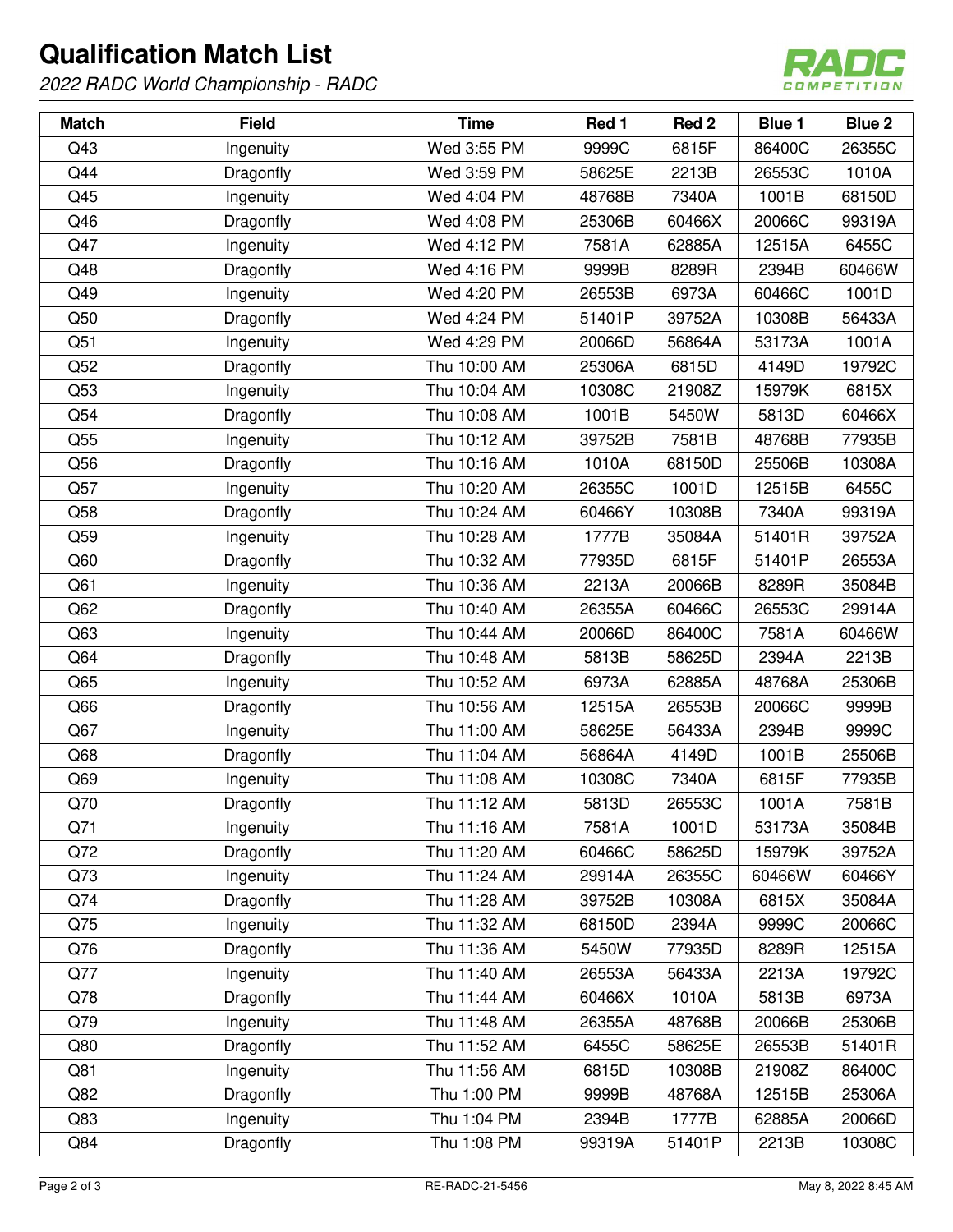## **Qualification Match List**

2022 RADC World Championship - RADC



| <b>Match</b>    | <b>Field</b> | <b>Time</b>  | Red 1  | Red 2  | <b>Blue 1</b> | <b>Blue 2</b> |
|-----------------|--------------|--------------|--------|--------|---------------|---------------|
| Q43             | Ingenuity    | Wed 3:55 PM  | 9999C  | 6815F  | 86400C        | 26355C        |
| Q44             | Dragonfly    | Wed 3:59 PM  | 58625E | 2213B  | 26553C        | 1010A         |
| Q45             | Ingenuity    | Wed 4:04 PM  | 48768B | 7340A  | 1001B         | 68150D        |
| Q46             | Dragonfly    | Wed 4:08 PM  | 25306B | 60466X | 20066C        | 99319A        |
| Q47             | Ingenuity    | Wed 4:12 PM  | 7581A  | 62885A | 12515A        | 6455C         |
| Q48             | Dragonfly    | Wed 4:16 PM  | 9999B  | 8289R  | 2394B         | 60466W        |
| Q49             | Ingenuity    | Wed 4:20 PM  | 26553B | 6973A  | 60466C        | 1001D         |
| Q50             | Dragonfly    | Wed 4:24 PM  | 51401P | 39752A | 10308B        | 56433A        |
| Q51             | Ingenuity    | Wed 4:29 PM  | 20066D | 56864A | 53173A        | 1001A         |
| Q52             | Dragonfly    | Thu 10:00 AM | 25306A | 6815D  | 4149D         | 19792C        |
| Q53             | Ingenuity    | Thu 10:04 AM | 10308C | 21908Z | 15979K        | 6815X         |
| Q54             | Dragonfly    | Thu 10:08 AM | 1001B  | 5450W  | 5813D         | 60466X        |
| Q55             | Ingenuity    | Thu 10:12 AM | 39752B | 7581B  | 48768B        | 77935B        |
| Q56             | Dragonfly    | Thu 10:16 AM | 1010A  | 68150D | 25506B        | 10308A        |
| Q57             | Ingenuity    | Thu 10:20 AM | 26355C | 1001D  | 12515B        | 6455C         |
| Q58             | Dragonfly    | Thu 10:24 AM | 60466Y | 10308B | 7340A         | 99319A        |
| Q59             | Ingenuity    | Thu 10:28 AM | 1777B  | 35084A | 51401R        | 39752A        |
| Q60             | Dragonfly    | Thu 10:32 AM | 77935D | 6815F  | 51401P        | 26553A        |
| Q61             | Ingenuity    | Thu 10:36 AM | 2213A  | 20066B | 8289R         | 35084B        |
| Q62             | Dragonfly    | Thu 10:40 AM | 26355A | 60466C | 26553C        | 29914A        |
| Q63             | Ingenuity    | Thu 10:44 AM | 20066D | 86400C | 7581A         | 60466W        |
| Q64             | Dragonfly    | Thu 10:48 AM | 5813B  | 58625D | 2394A         | 2213B         |
| Q65             | Ingenuity    | Thu 10:52 AM | 6973A  | 62885A | 48768A        | 25306B        |
| Q66             | Dragonfly    | Thu 10:56 AM | 12515A | 26553B | 20066C        | 9999B         |
| Q67             | Ingenuity    | Thu 11:00 AM | 58625E | 56433A | 2394B         | 9999C         |
| Q <sub>68</sub> | Dragonfly    | Thu 11:04 AM | 56864A | 4149D  | 1001B         | 25506B        |
| Q69             | Ingenuity    | Thu 11:08 AM | 10308C | 7340A  | 6815F         | 77935B        |
| Q70             | Dragonfly    | Thu 11:12 AM | 5813D  | 26553C | 1001A         | 7581B         |
| Q71             | Ingenuity    | Thu 11:16 AM | 7581A  | 1001D  | 53173A        | 35084B        |
| Q72             | Dragonfly    | Thu 11:20 AM | 60466C | 58625D | 15979K        | 39752A        |
| Q73             | Ingenuity    | Thu 11:24 AM | 29914A | 26355C | 60466W        | 60466Y        |
| Q74             | Dragonfly    | Thu 11:28 AM | 39752B | 10308A | 6815X         | 35084A        |
| Q75             | Ingenuity    | Thu 11:32 AM | 68150D | 2394A  | 9999C         | 20066C        |
| Q76             | Dragonfly    | Thu 11:36 AM | 5450W  | 77935D | 8289R         | 12515A        |
| Q77             | Ingenuity    | Thu 11:40 AM | 26553A | 56433A | 2213A         | 19792C        |
| Q78             | Dragonfly    | Thu 11:44 AM | 60466X | 1010A  | 5813B         | 6973A         |
| Q79             | Ingenuity    | Thu 11:48 AM | 26355A | 48768B | 20066B        | 25306B        |
| Q80             | Dragonfly    | Thu 11:52 AM | 6455C  | 58625E | 26553B        | 51401R        |
| Q81             | Ingenuity    | Thu 11:56 AM | 6815D  | 10308B | 21908Z        | 86400C        |
| Q82             | Dragonfly    | Thu 1:00 PM  | 9999B  | 48768A | 12515B        | 25306A        |
| Q83             | Ingenuity    | Thu 1:04 PM  | 2394B  | 1777B  | 62885A        | 20066D        |
| Q84             | Dragonfly    | Thu 1:08 PM  | 99319A | 51401P | 2213B         | 10308C        |